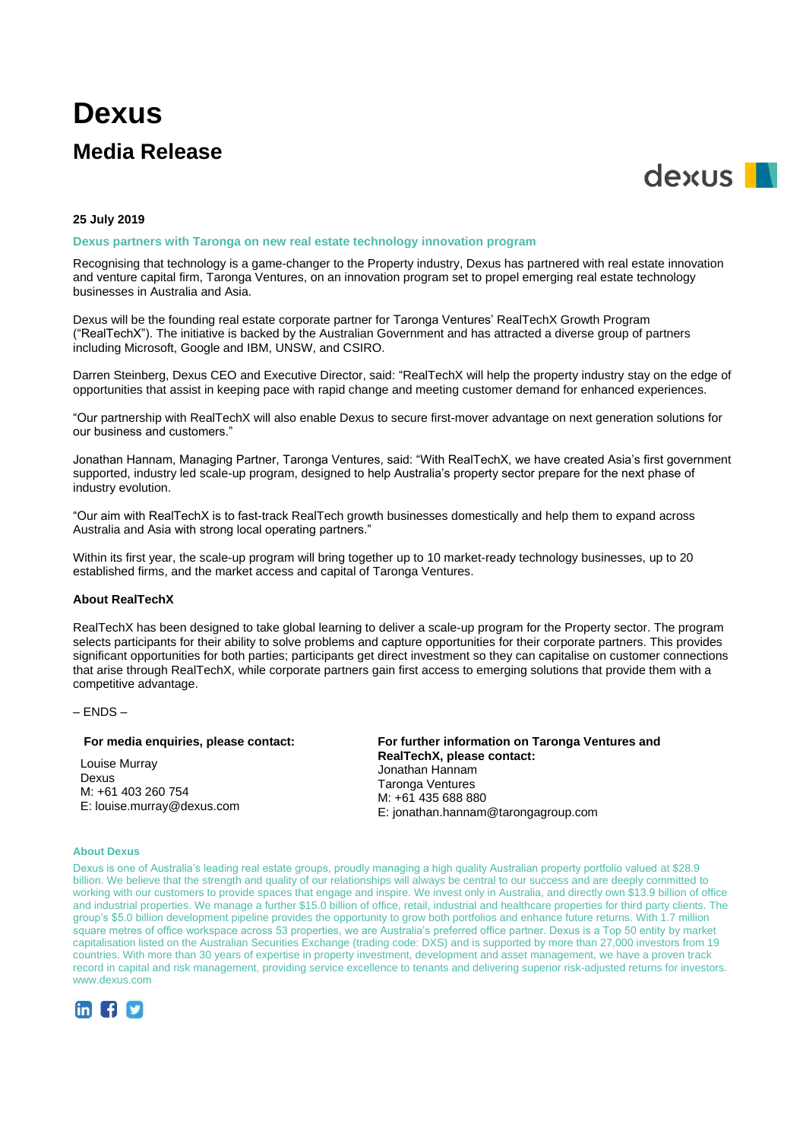# **Dexus**

# **Media Release**



### **25 July 2019**

# **Dexus partners with Taronga on new real estate technology innovation program**

Recognising that technology is a game-changer to the Property industry, Dexus has partnered with real estate innovation and venture capital firm, Taronga Ventures, on an innovation program set to propel emerging real estate technology businesses in Australia and Asia.

Dexus will be the founding real estate corporate partner for Taronga Ventures' RealTechX Growth Program ("RealTechX"). The initiative is backed by the Australian Government and has attracted a diverse group of partners including Microsoft, Google and IBM, UNSW, and CSIRO.

Darren Steinberg, Dexus CEO and Executive Director, said: "RealTechX will help the property industry stay on the edge of opportunities that assist in keeping pace with rapid change and meeting customer demand for enhanced experiences.

"Our partnership with RealTechX will also enable Dexus to secure first-mover advantage on next generation solutions for our business and customers."

Jonathan Hannam, Managing Partner, Taronga Ventures, said: "With RealTechX, we have created Asia's first government supported, industry led scale-up program, designed to help Australia's property sector prepare for the next phase of industry evolution.

"Our aim with RealTechX is to fast-track RealTech growth businesses domestically and help them to expand across Australia and Asia with strong local operating partners."

Within its first year, the scale-up program will bring together up to 10 market-ready technology businesses, up to 20 established firms, and the market access and capital of Taronga Ventures.

## **About RealTechX**

RealTechX has been designed to take global learning to deliver a scale-up program for the Property sector. The program selects participants for their ability to solve problems and capture opportunities for their corporate partners. This provides significant opportunities for both parties; participants get direct investment so they can capitalise on customer connections that arise through RealTechX, while corporate partners gain first access to emerging solutions that provide them with a competitive advantage.

### $-$  ENDS  $-$

#### **For media enquiries, please contact:**

Louise Murray Dexus M: +61 403 260 754 E: louise.murray@dexus.com

**For further information on Taronga Ventures and RealTechX, please contact:** Jonathan Hannam Taronga Ventures M: +61 435 688 880 E: [jonathan.hannam@tarongagroup.com](mailto:jonathan.hannam@tarongagroup.com)

#### **About Dexus**

Dexus is one of Australia's leading real estate groups, proudly managing a high quality Australian property portfolio valued at \$28.9 billion. We believe that the strength and quality of our relationships will always be central to our success and are deeply committed to working with our customers to provide spaces that engage and inspire. We invest only in Australia, and directly own \$13.9 billion of office and industrial properties. We manage a further \$15.0 billion of office, retail, industrial and healthcare properties for third party clients. The group's \$5.0 billion development pipeline provides the opportunity to grow both portfolios and enhance future returns. With 1.7 million square metres of office workspace across 53 properties, we are Australia's preferred office partner. Dexus is a Top 50 entity by market capitalisation listed on the Australian Securities Exchange (trading code: DXS) and is supported by more than 27,000 investors from 19 countries. With more than 30 years of expertise in property investment, development and asset management, we have a proven track record in capital and risk management, providing service excellence to tenants and delivering superior risk-adjusted returns for investors. www.dexus.com